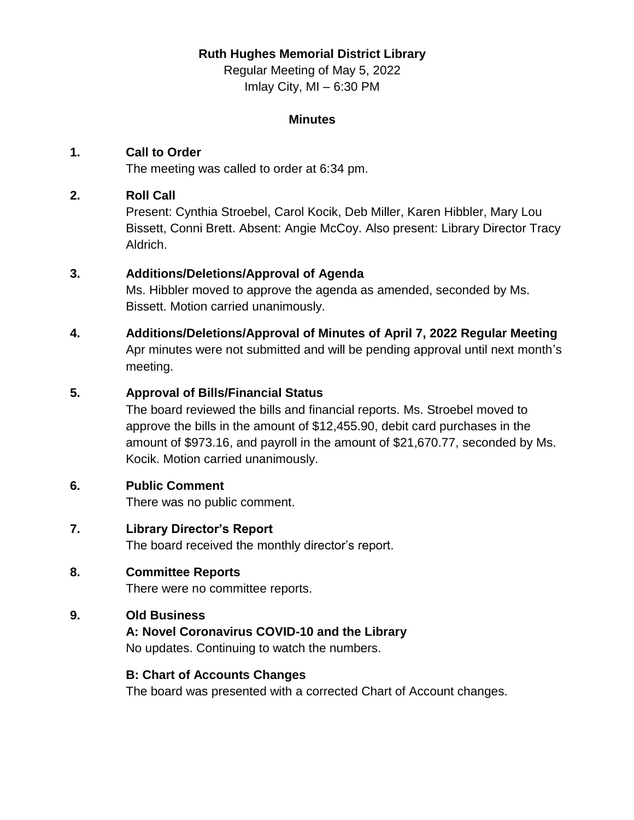## **Ruth Hughes Memorial District Library**

Regular Meeting of May 5, 2022 Imlay City, MI – 6:30 PM

#### **Minutes**

## **1. Call to Order**

The meeting was called to order at 6:34 pm.

## **2. Roll Call**

Present: Cynthia Stroebel, Carol Kocik, Deb Miller, Karen Hibbler, Mary Lou Bissett, Conni Brett. Absent: Angie McCoy. Also present: Library Director Tracy Aldrich.

## **3. Additions/Deletions/Approval of Agenda**

Ms. Hibbler moved to approve the agenda as amended, seconded by Ms. Bissett. Motion carried unanimously.

**4. Additions/Deletions/Approval of Minutes of April 7, 2022 Regular Meeting** Apr minutes were not submitted and will be pending approval until next month's meeting.

### **5. Approval of Bills/Financial Status**

The board reviewed the bills and financial reports. Ms. Stroebel moved to approve the bills in the amount of \$12,455.90, debit card purchases in the amount of \$973.16, and payroll in the amount of \$21,670.77, seconded by Ms. Kocik. Motion carried unanimously.

## **6. Public Comment**

There was no public comment.

#### **7. Library Director's Report**

The board received the monthly director's report.

## **8. Committee Reports**

There were no committee reports.

#### **9. Old Business**

#### **A: Novel Coronavirus COVID-10 and the Library**

No updates. Continuing to watch the numbers.

#### **B: Chart of Accounts Changes**

The board was presented with a corrected Chart of Account changes.